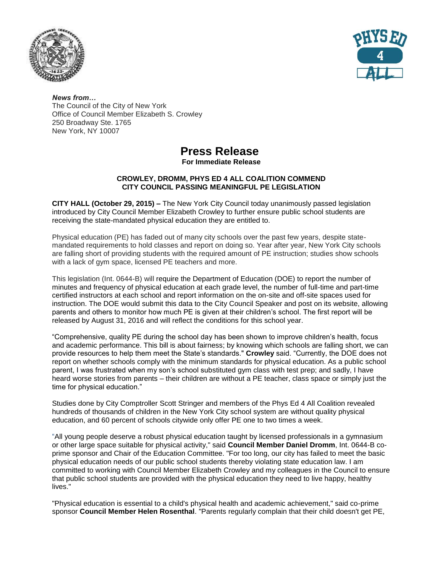



*News from…* The Council of the City of New York Office of Council Member Elizabeth S. Crowley 250 Broadway Ste. 1765 New York, NY 10007

## **Press Release**

**For Immediate Release**

## **CROWLEY, DROMM, PHYS ED 4 ALL COALITION COMMEND CITY COUNCIL PASSING MEANINGFUL PE LEGISLATION**

**CITY HALL (October 29, 2015) –** The New York City Council today unanimously passed legislation introduced by City Council Member Elizabeth Crowley to further ensure public school students are receiving the state-mandated physical education they are entitled to.

Physical education (PE) has faded out of many city schools over the past few years, despite statemandated requirements to hold classes and report on doing so. Year after year, New York City schools are falling short of providing students with the required amount of PE instruction; studies show schools with a lack of gym space, licensed PE teachers and more.

This legislation (Int. 0644-B) will require the Department of Education (DOE) to report the number of minutes and frequency of physical education at each grade level, the number of full-time and part-time certified instructors at each school and report information on the on-site and off-site spaces used for instruction. The DOE would submit this data to the City Council Speaker and post on its website, allowing parents and others to monitor how much PE is given at their children's school. The first report will be released by August 31, 2016 and will reflect the conditions for this school year.

"Comprehensive, quality PE during the school day has been shown to improve children's health, focus and academic performance. This bill is about fairness; by knowing which schools are falling short, we can provide resources to help them meet the State's standards." **Crowley** said. "Currently, the DOE does not report on whether schools comply with the minimum standards for physical education. As a public school parent, I was frustrated when my son's school substituted gym class with test prep; and sadly, I have heard worse stories from parents – their children are without a PE teacher, class space or simply just the time for physical education."

Studies done by City Comptroller Scott Stringer and members of the Phys Ed 4 All Coalition revealed hundreds of thousands of children in the New York City school system are without quality physical education, and 60 percent of schools citywide only offer PE one to two times a week.

"All young people deserve a robust physical education taught by licensed professionals in a gymnasium or other large space suitable for physical activity," said **Council Member Daniel Dromm**, Int. 0644-B coprime sponsor and Chair of the Education Committee. "For too long, our city has failed to meet the basic physical education needs of our public school students thereby violating state education law. I am committed to working with Council Member Elizabeth Crowley and my colleagues in the Council to ensure that public school students are provided with the physical education they need to live happy, healthy lives."

"Physical education is essential to a child's physical health and academic achievement," said co-prime sponsor **Council Member Helen Rosenthal**. "Parents regularly complain that their child doesn't get PE,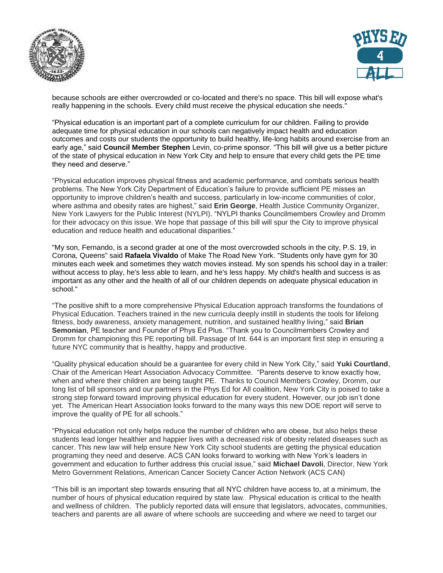



because schools are either overcrowded or co-located and there's no space. This bill will expose what's really happening in the schools. Every child must receive the physical education she needs."

"Physical education is an important part of a complete curriculum for our children. Failing to provide adequate time for physical education in our schools can negatively impact health and education outcomes and costs our students the opportunity to build healthy, life-long habits around exercise from an early age," said **Council Member Stephen** Levin, co-prime sponsor. "This bill will give us a better picture of the state of physical education in New York City and help to ensure that every child gets the PE time they need and deserve."

"Physical education improves physical fitness and academic performance, and combats serious health problems. The New York City Department of Education's failure to provide sufficient PE misses an opportunity to improve children's health and success, particularly in low-income communities of color, where asthma and obesity rates are highest," said **Erin George**, Health Justice Community Organizer, New York Lawyers for the Public Interest (NYLPI). "NYLPI thanks Councilmembers Crowley and Dromm for their advocacy on this issue. We hope that passage of this bill will spur the City to improve physical education and reduce health and educational disparities."

"My son, Fernando, is a second grader at one of the most overcrowded schools in the city, P.S. 19, in Corona, Queens" said **Rafaela Vivaldo** of Make The Road New York. "Students only have gym for 30 minutes each week and sometimes they watch movies instead. My son spends his school day in a trailer: without access to play, he's less able to learn, and he's less happy. My child's health and success is as important as any other and the health of all of our children depends on adequate physical education in school."

"The positive shift to a more comprehensive Physical Education approach transforms the foundations of Physical Education. Teachers trained in the new curricula deeply instill in students the tools for lifelong fitness, body awareness, anxiety management, nutrition, and sustained healthy living," said **Brian Semonian**, PE teacher and Founder of Phys Ed Plus. "Thank you to Councilmembers Crowley and Dromm for championing this PE reporting bill. Passage of Int. 644 is an important first step in ensuring a future NYC community that is healthy, happy and productive.

"Quality physical education should be a guarantee for every child in New York City," said **Yuki Courtland**, Chair of the American Heart Association Advocacy Committee*.* "Parents deserve to know exactly how, when and where their children are being taught PE. Thanks to Council Members Crowley, Dromm, our long list of bill sponsors and our partners in the Phys Ed for All coalition, New York City is poised to take a strong step forward toward improving physical education for every student. However, our job isn't done yet. The American Heart Association looks forward to the many ways this new DOE report will serve to improve the quality of PE for all schools."

"Physical education not only helps reduce the number of children who are obese, but also helps these students lead longer healthier and happier lives with a decreased risk of obesity related diseases such as cancer. This new law will help ensure New York City school students are getting the physical education programing they need and deserve. ACS CAN looks forward to working with New York's leaders in government and education to further address this crucial issue," said **Michael Davoli**, Director, New York Metro Government Relations, American Cancer Society Cancer Action Network (ACS CAN)

"This bill is an important step towards ensuring that all NYC children have access to, at a minimum, the number of hours of physical education required by state law. Physical education is critical to the health and wellness of children. The publicly reported data will ensure that legislators, advocates, communities, teachers and parents are all aware of where schools are succeeding and where we need to target our